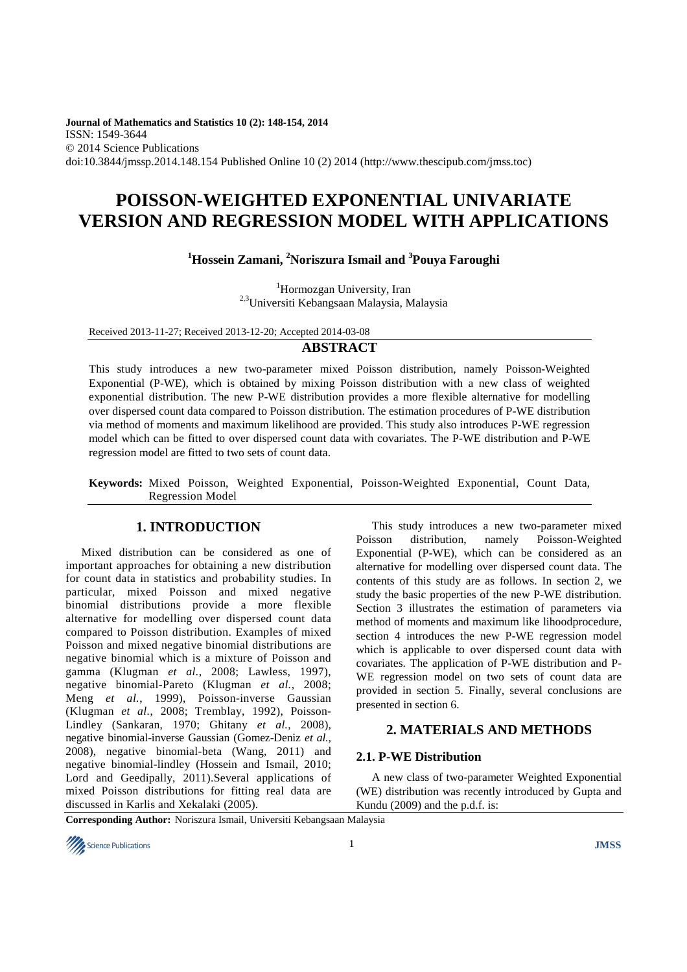**Journal of Mathematics and Statistics 10 (2): 148-154, 2014**  ISSN: 1549-3644 © 2014 Science Publications doi:10.3844/jmssp.2014.148.154 Published Online 10 (2) 2014 (http://www.thescipub.com/jmss.toc)

# **POISSON-WEIGHTED EXPONENTIAL UNIVARIATE VERSION AND REGRESSION MODEL WITH APPLICATIONS**

# **<sup>1</sup>Hossein Zamani, <sup>2</sup>Noriszura Ismail and <sup>3</sup>Pouya Faroughi**

<sup>1</sup>Hormozgan University, Iran 2,3Universiti Kebangsaan Malaysia, Malaysia

Received 2013-11-27; Received 2013-12-20; Accepted 2014-03-08

# **ABSTRACT**

This study introduces a new two-parameter mixed Poisson distribution, namely Poisson-Weighted Exponential (P-WE), which is obtained by mixing Poisson distribution with a new class of weighted exponential distribution. The new P-WE distribution provides a more flexible alternative for modelling over dispersed count data compared to Poisson distribution. The estimation procedures of P-WE distribution via method of moments and maximum likelihood are provided. This study also introduces P-WE regression model which can be fitted to over dispersed count data with covariates. The P-WE distribution and P-WE regression model are fitted to two sets of count data.

**Keywords:** Mixed Poisson, Weighted Exponential, Poisson-Weighted Exponential, Count Data, Regression Model

# **1. INTRODUCTION**

Mixed distribution can be considered as one of important approaches for obtaining a new distribution for count data in statistics and probability studies. In particular, mixed Poisson and mixed negative binomial distributions provide a more flexible alternative for modelling over dispersed count data compared to Poisson distribution. Examples of mixed Poisson and mixed negative binomial distributions are negative binomial which is a mixture of Poisson and gamma (Klugman *et al.*, 2008; Lawless, 1997), negative binomial-Pareto (Klugman *et al.*, 2008; Meng *et al.*, 1999), Poisson-inverse Gaussian (Klugman *et al.*, 2008; Tremblay, 1992), Poisson-Lindley (Sankaran, 1970; Ghitany *et al.*, 2008), negative binomial-inverse Gaussian (Gomez-Deniz *et al.*, 2008), negative binomial-beta (Wang, 2011) and negative binomial-lindley (Hossein and Ismail, 2010; Lord and Geedipally, 2011).Several applications of mixed Poisson distributions for fitting real data are discussed in Karlis and Xekalaki (2005).

This study introduces a new two-parameter mixed Poisson distribution, namely Poisson-Weighted Exponential (P-WE), which can be considered as an alternative for modelling over dispersed count data. The contents of this study are as follows. In section 2, we study the basic properties of the new P-WE distribution. Section 3 illustrates the estimation of parameters via method of moments and maximum like lihoodprocedure, section 4 introduces the new P-WE regression model which is applicable to over dispersed count data with covariates. The application of P-WE distribution and P-WE regression model on two sets of count data are provided in section 5. Finally, several conclusions are presented in section 6.

# **2. MATERIALS AND METHODS**

#### **2.1. P-WE Distribution**

A new class of two-parameter Weighted Exponential (WE) distribution was recently introduced by Gupta and Kundu (2009) and the p.d.f. is:

**Corresponding Author:** Noriszura Ismail, Universiti Kebangsaan Malaysia

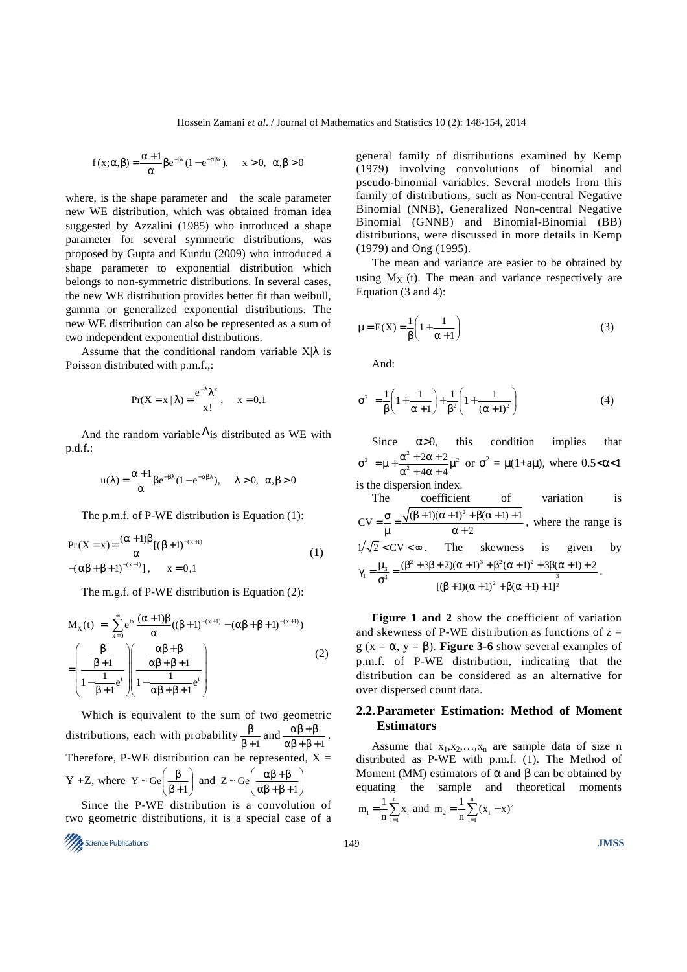$$
f(x;\alpha,\beta)=\frac{\alpha+1}{\alpha}\beta e^{-\beta x}(1-e^{-\alpha\beta x}),\quad \ \ x>0,\ \ \alpha,\beta>0
$$

where, is the shape parameter and the scale parameter new WE distribution, which was obtained froman idea suggested by Azzalini (1985) who introduced a shape parameter for several symmetric distributions, was proposed by Gupta and Kundu (2009) who introduced a shape parameter to exponential distribution which belongs to non-symmetric distributions. In several cases, the new WE distribution provides better fit than weibull, gamma or generalized exponential distributions. The new WE distribution can also be represented as a sum of two independent exponential distributions.

Assume that the conditional random variable  $X|\lambda$  is Poisson distributed with p.m.f.,:

$$
Pr(X = x | \lambda) = \frac{e^{-\lambda} \lambda^{x}}{x!}, \quad x = 0, 1
$$

And the random variable  $\Lambda$ is distributed as WE with p.d.f.:

$$
u(\lambda) = \frac{\alpha + 1}{\alpha} \beta e^{-\beta \lambda} (1 - e^{-\alpha \beta \lambda}), \quad \lambda > 0, \alpha, \beta > 0
$$

The p.m.f. of P-WE distribution is Equation (1):

$$
Pr(X = x) = \frac{(\alpha + 1)\beta}{\alpha} [(\beta + 1)^{-(x+1)}-(\alpha\beta + \beta + 1)^{-(x+1)}], \qquad x = 0,1
$$
 (1)

The m.g.f. of P-WE distribution is Equation (2):

$$
M_{x}(t) = \sum_{x=0}^{\infty} e^{tx} \frac{(\alpha+1)\beta}{\alpha} ((\beta+1)^{-(x+1)} - (\alpha\beta+\beta+1)^{-(x+1)})
$$

$$
= \left(\frac{\beta}{\beta+1} \right) \left(\frac{\alpha\beta+\beta}{\alpha\beta+\beta+1} - \frac{1}{\alpha\beta+\beta+1}e^{t}\right) (2)
$$

Which is equivalent to the sum of two geometric distributions, each with probability  $\frac{P}{\beta+1}$ β  $\frac{\beta}{\beta+1}$  and  $\frac{\alpha\beta+\beta}{\alpha\beta+\beta+1}$ αβ + β  $\frac{\alpha p + p}{\alpha \beta + \beta + 1}$ . Therefore, P-WE distribution can be represented,  $X =$  $Y + Z$ , where  $Y \sim Ge \left( \frac{P}{\beta + 1} \right)$  $\left(\frac{\beta}{\beta+1}\right)$  and  $Z \sim \text{Ge}\left(\frac{\alpha\beta+\beta}{\alpha\beta+\beta+1}\right)$ 

Since the P-WE distribution is a convolution of two geometric distributions, it is a special case of a

**Science Publications JMSS JMSS JMSS** 

general family of distributions examined by Kemp (1979) involving convolutions of binomial and pseudo-binomial variables. Several models from this family of distributions, such as Non-central Negative Binomial (NNB), Generalized Non-central Negative Binomial (GNNB) and Binomial-Binomial (BB) distributions, were discussed in more details in Kemp (1979) and Ong (1995).

The mean and variance are easier to be obtained by using  $M_X$  (t). The mean and variance respectively are Equation (3 and 4):

$$
\mu = E(X) = \frac{1}{\beta} \left( 1 + \frac{1}{\alpha + 1} \right) \tag{3}
$$

And:

$$
\sigma^2 = \frac{1}{\beta} \left( 1 + \frac{1}{\alpha + 1} \right) + \frac{1}{\beta^2} \left( 1 + \frac{1}{(\alpha + 1)^2} \right) \tag{4}
$$

Since  $\alpha > 0$ , this condition implies that <sup>2</sup> =  $\mu + \frac{\alpha^2 + 2\alpha + 2}{\alpha^2 + 4\alpha + 4} \mu^2$  $4\alpha + 4$  $\sigma^2 = \mu + \frac{\alpha^2 + 2\alpha + 2}{\alpha^2 + 4\alpha + 4}\mu^2$  or  $\sigma^2 = \mu(1 + \alpha\mu)$ , where 0.5 <  $\alpha$  < 1 is the dispersion index.

The coefficient of variation is  
\n
$$
CV = \frac{\sigma}{\mu} = \frac{\sqrt{(\beta + 1)(\alpha + 1)^2 + \beta(\alpha + 1) + 1}}{\alpha + 2},
$$
 where the range is  
\n
$$
1/\sqrt{2} < CV < \infty.
$$
 The skewness is given by  
\n
$$
\gamma_1 = \frac{\mu_3}{\sigma^3} = \frac{(\beta^2 + 3\beta + 2)(\alpha + 1)^3 + \beta^2(\alpha + 1)^2 + 3\beta(\alpha + 1) + 2}{[(\beta + 1)(\alpha + 1)^2 + \beta(\alpha + 1) + 1]^{\frac{3}{2}}}.
$$

**Figure 1 and 2** show the coefficient of variation and skewness of P-WE distribution as functions of  $z =$ g ( $x = \alpha$ ,  $y = \beta$ ). **Figure 3-6** show several examples of p.m.f. of P-WE distribution, indicating that the distribution can be considered as an alternative for over dispersed count data.

#### **2.2. Parameter Estimation: Method of Moment Estimators**

Assume that  $x_1, x_2, \ldots, x_n$  are sample data of size n distributed as P-WE with p.m.f. (1). The Method of Moment (MM) estimators of  $\alpha$  and  $\beta$  can be obtained by equating the sample and theoretical moments  $1\frac{n}{2}$  $1 - \sum_{i}$  $m_1 = \frac{1}{2} \sum x$  $=-\sum x_i$  and  $1\frac{n}{2}$  $\lambda^2$ 2  $\sim$   $\sqrt{a_i}$  $m_2 = \frac{1}{2} \sum_{i=1}^n (x_i - \overline{x})$  $=\frac{1}{2}\sum_{i=1}^{n}(x_i -$ 

$$
n_1 = \frac{1}{n} \sum_{i=1}^{n} x_i
$$
 and  $m_2 = \frac{1}{n} \sum_{i=1}^{n} (x_i - \overline{x})$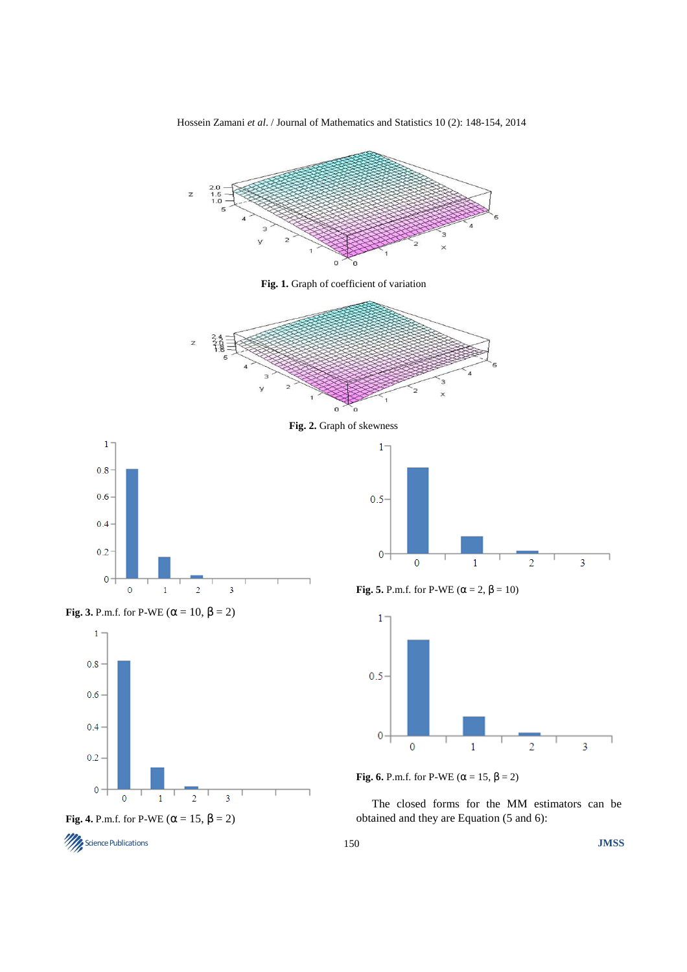

Hossein Zamani *et al*. / Journal of Mathematics and Statistics 10 (2): 148-154, 2014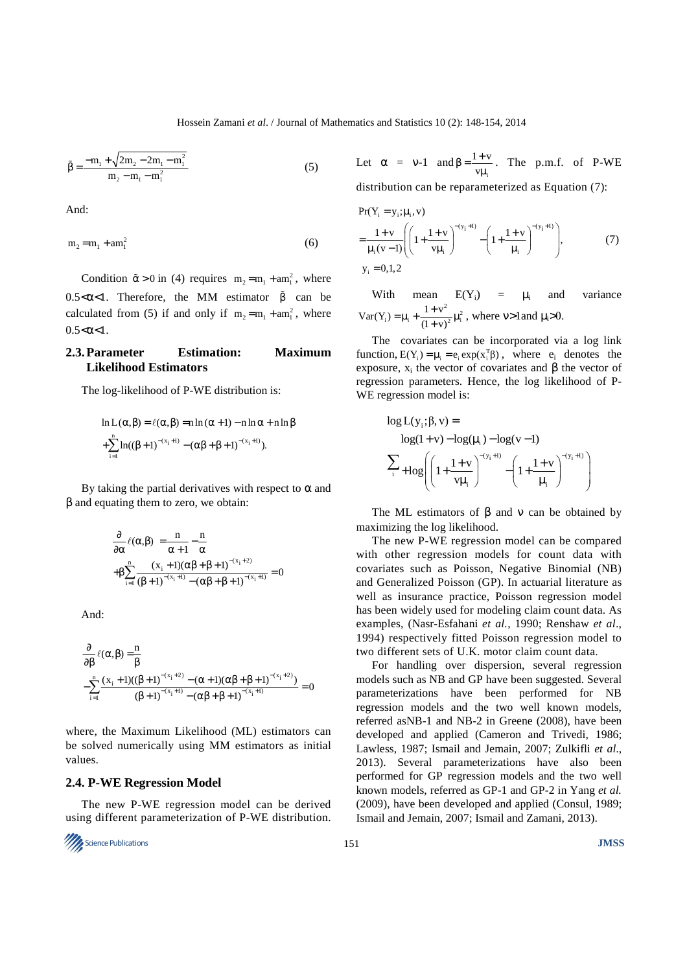$$
\tilde{\beta} = \frac{-m_1 + \sqrt{2m_2 - 2m_1 - m_1^2}}{m_2 - m_1 - m_1^2}
$$
\n(5)

And:

$$
m_2 = m_1 + am_1^2 \tag{6}
$$

Condition  $\tilde{\alpha} > 0$  in (4) requires  $m_2 = m_1 + am_1^2$ , where 0.5 < α < 1. Therefore, the MM estimator  $\tilde{\beta}$  can be calculated from (5) if and only if  $m_2 = m_1 + am_1^2$ , where  $0.5 < \alpha < 1$ .

## **2.3. Parameter Estimation: Maximum Likelihood Estimators**

The log-likelihood of P-WE distribution is:

$$
\ln L(\alpha, \beta) = \ell(\alpha, \beta) = n \ln (\alpha + 1) - n \ln \alpha + n \ln \beta
$$
  
+ 
$$
\sum_{i=1}^{n} \ln((\beta + 1)^{-(x_i + 1)} - (\alpha \beta + \beta + 1)^{-(x_i + 1)}).
$$

By taking the partial derivatives with respect to  $\alpha$  and β and equating them to zero, we obtain:

$$
\begin{aligned} &\frac{\partial}{\partial\alpha}\ell(\alpha,\beta)=\frac{n}{\alpha+1}-\frac{n}{\alpha}\\ +&\beta\sum_{i=1}^n\frac{(x_i+1)(\alpha\beta+\beta+1)^{-(x_i+2)}}{(\beta+1)^{-(x_i+1)}-(\alpha\beta+\beta+1)^{-(x_i+1)}}=0\end{aligned}
$$

And:

$$
\frac{\partial}{\partial \beta} \ell(\alpha, \beta) = \frac{n}{\beta}
$$
  
-
$$
\sum_{i=1}^{n} \frac{(x_i + 1)((\beta + 1)^{-(x_i + 2)} - (\alpha + 1)(\alpha \beta + \beta + 1)^{-(x_i + 2)})}{(\beta + 1)^{-(x_i + 1)} - (\alpha \beta + \beta + 1)^{-(x_i + 1)}} = 0
$$

where, the Maximum Likelihood (ML) estimators can be solved numerically using MM estimators as initial values.

## **2.4. P-WE Regression Model**

The new P-WE regression model can be derived using different parameterization of P-WE distribution.



Let  $\alpha = v-1$  and i  $1 + v$ v  $\beta = \frac{1 + v}{v \mu_i}$ . The p.m.f. of P-WE distribution can be reparameterized as Equation (7):

$$
Pr(Y_i = y_i; \mu_i, v)
$$
  
=  $\frac{1 + v}{\mu_i(v-1)} \left( \left( 1 + \frac{1 + v}{v\mu_i} \right)^{-(y_i+1)} - \left( 1 + \frac{1 + v}{\mu_i} \right)^{-(y_i+1)} \right)$ , (7)  
 $y_i = 0, 1, 2$ 

With mean  $E(Y_i)$  = and variance  $Var(Y_i) = \mu_i + \frac{1 + v^2}{(1 + v)^2} \mu_i^2$  $= \mu_i + \frac{1 + v^2}{(1 + v)^2} \mu_i^2$ , where  $v > 1$  and  $\mu_i > 0$ .

The covariates can be incorporated via a log link function,  $E(Y_i) = \mu_i = e_i \exp(x_i^T \beta)$ , where  $e_i$  denotes the exposure,  $x_i$  the vector of covariates and  $\beta$  the vector of regression parameters. Hence, the log likelihood of P-WE regression model is:

$$
\log L(y_i; \beta, v) = \log(1+v) - \log(\mu_i) - \log(v-1)
$$
  

$$
\sum_{i} + \log \left( \left( 1 + \frac{1+v}{v\mu_i} \right)^{-(y_i+1)} - \left( 1 + \frac{1+v}{\mu_i} \right)^{-(y_i+1)} \right)
$$

The ML estimators of  $\beta$  and  $\nu$  can be obtained by maximizing the log likelihood.

The new P-WE regression model can be compared with other regression models for count data with covariates such as Poisson, Negative Binomial (NB) and Generalized Poisson (GP). In actuarial literature as well as insurance practice, Poisson regression model has been widely used for modeling claim count data. As examples, (Nasr-Esfahani *et al.*, 1990; Renshaw *et al*., 1994) respectively fitted Poisson regression model to two different sets of U.K. motor claim count data.

For handling over dispersion, several regression models such as NB and GP have been suggested. Several parameterizations have been performed for NB regression models and the two well known models, referred asNB-1 and NB-2 in Greene (2008), have been developed and applied (Cameron and Trivedi, 1986; Lawless, 1987; Ismail and Jemain, 2007; Zulkifli *et al*., 2013). Several parameterizations have also been performed for GP regression models and the two well known models, referred as GP-1 and GP-2 in Yang *et al.* (2009), have been developed and applied (Consul, 1989; Ismail and Jemain, 2007; Ismail and Zamani, 2013).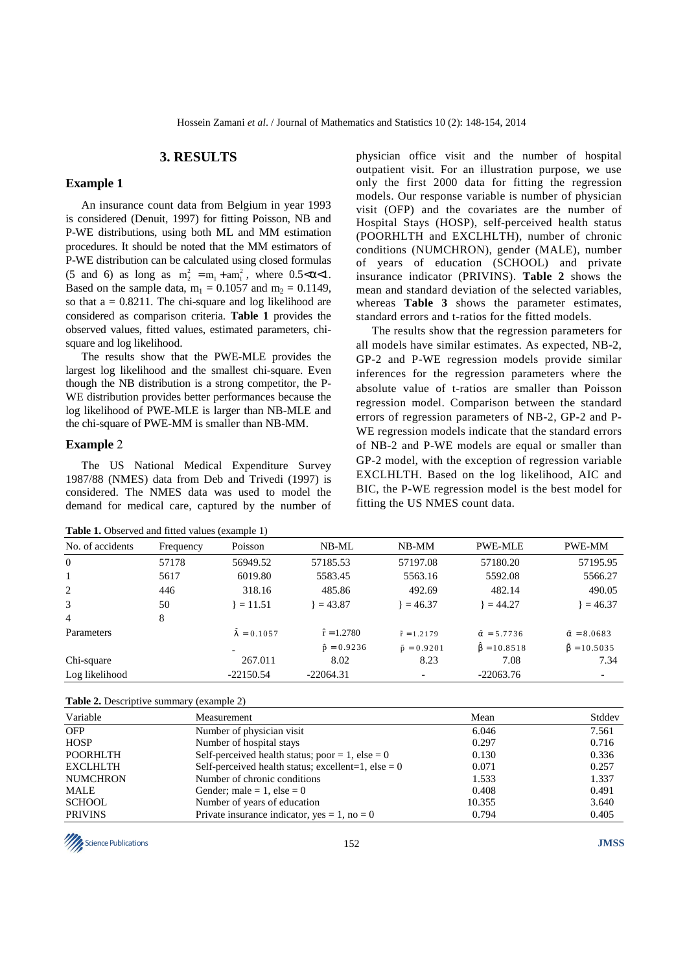# **3. RESULTS**

## **Example 1**

An insurance count data from Belgium in year 1993 is considered (Denuit, 1997) for fitting Poisson, NB and P-WE distributions, using both ML and MM estimation procedures. It should be noted that the MM estimators of P-WE distribution can be calculated using closed formulas (5 and 6) as long as  $m_2^2 = m_1 + am_1^2$ , where 0.5< $\alpha$ <1. Based on the sample data,  $m_1 = 0.1057$  and  $m_2 = 0.1149$ , so that  $a = 0.8211$ . The chi-square and log likelihood are considered as comparison criteria. **Table 1** provides the observed values, fitted values, estimated parameters, chisquare and log likelihood.

The results show that the PWE-MLE provides the largest log likelihood and the smallest chi-square. Even though the NB distribution is a strong competitor, the P-WE distribution provides better performances because the log likelihood of PWE-MLE is larger than NB-MLE and the chi-square of PWE-MM is smaller than NB-MM.

#### **Example** 2

The US National Medical Expenditure Survey 1987/88 (NMES) data from Deb and Trivedi (1997) is considered. The NMES data was used to model the demand for medical care, captured by the number of

**Table 1.** Observed and fitted values (example 1)

physician office visit and the number of hospital outpatient visit. For an illustration purpose, we use only the first 2000 data for fitting the regression models. Our response variable is number of physician visit (OFP) and the covariates are the number of Hospital Stays (HOSP), self-perceived health status (POORHLTH and EXCLHLTH), number of chronic conditions (NUMCHRON), gender (MALE), number of years of education (SCHOOL) and private insurance indicator (PRIVINS). **Table 2** shows the mean and standard deviation of the selected variables, whereas **Table 3** shows the parameter estimates, standard errors and t-ratios for the fitted models.

The results show that the regression parameters for all models have similar estimates. As expected, NB-2, GP-2 and P-WE regression models provide similar inferences for the regression parameters where the absolute value of t-ratios are smaller than Poisson regression model. Comparison between the standard errors of regression parameters of NB-2, GP-2 and P-WE regression models indicate that the standard errors of NB-2 and P-WE models are equal or smaller than GP-2 model, with the exception of regression variable EXCLHLTH. Based on the log likelihood, AIC and BIC, the P-WE regression model is the best model for fitting the US NMES count data.

| No. of accidents<br>Frequency |       | Poisson                  | NB-ML              | $NB-MM$              | <b>PWE-MLE</b>          | <b>PWE-MM</b>             |  |
|-------------------------------|-------|--------------------------|--------------------|----------------------|-------------------------|---------------------------|--|
| $\mathbf{0}$                  | 57178 | 56949.52                 | 57185.53           | 57197.08             | 57180.20                | 57195.95                  |  |
|                               | 5617  | 6019.80                  | 5583.45            | 5563.16              | 5592.08                 | 5566.27                   |  |
| 2                             | 446   | 318.16                   | 485.86             | 492.69               | 482.14                  | 490.05                    |  |
| 3                             | 50    | $= 11.51$                | $= 43.87$          | $= 46.37$            | $= 44.27$               | $= 46.37$                 |  |
| $\overline{4}$                | 8     |                          |                    |                      |                         |                           |  |
| Parameters                    |       | $\hat{\lambda} = 0.1057$ | $\hat{r} = 1.2780$ | $\tilde{r} = 1.2179$ | $\hat{\alpha} = 5.7736$ | $\tilde{\alpha} = 8.0683$ |  |
|                               |       |                          | $\hat{p} = 0.9236$ | $\tilde{p} = 0.9201$ | $\hat{\beta} = 10.8518$ | $\tilde{\beta} = 10.5035$ |  |
| Chi-square                    |       | 267.011                  | 8.02               | 8.23                 | 7.08                    | 7.34                      |  |
| Log likelihood                |       | $-22150.54$              | $-22064.31$        |                      | $-22063.76$             |                           |  |

| Table 2. Descriptive summary (example 2) |  |
|------------------------------------------|--|
|------------------------------------------|--|

| Variable        | Measurement                                           | Mean   | Stddev |
|-----------------|-------------------------------------------------------|--------|--------|
| <b>OFP</b>      | Number of physician visit                             | 6.046  | 7.561  |
| <b>HOSP</b>     | Number of hospital stays                              | 0.297  | 0.716  |
| <b>POORHLTH</b> | Self-perceived health status; poor = 1, else = 0      | 0.130  | 0.336  |
| <b>EXCLHLTH</b> | Self-perceived health status; excellent=1, else = $0$ | 0.071  | 0.257  |
| <b>NUMCHRON</b> | Number of chronic conditions                          | 1.533  | 1.337  |
| MALE            | Gender; male = 1, else = $0$                          | 0.408  | 0.491  |
| <b>SCHOOL</b>   | Number of years of education                          | 10.355 | 3.640  |
| <b>PRIVINS</b>  | Private insurance indicator, yes = 1, no = 0          | 0.794  | 0.405  |

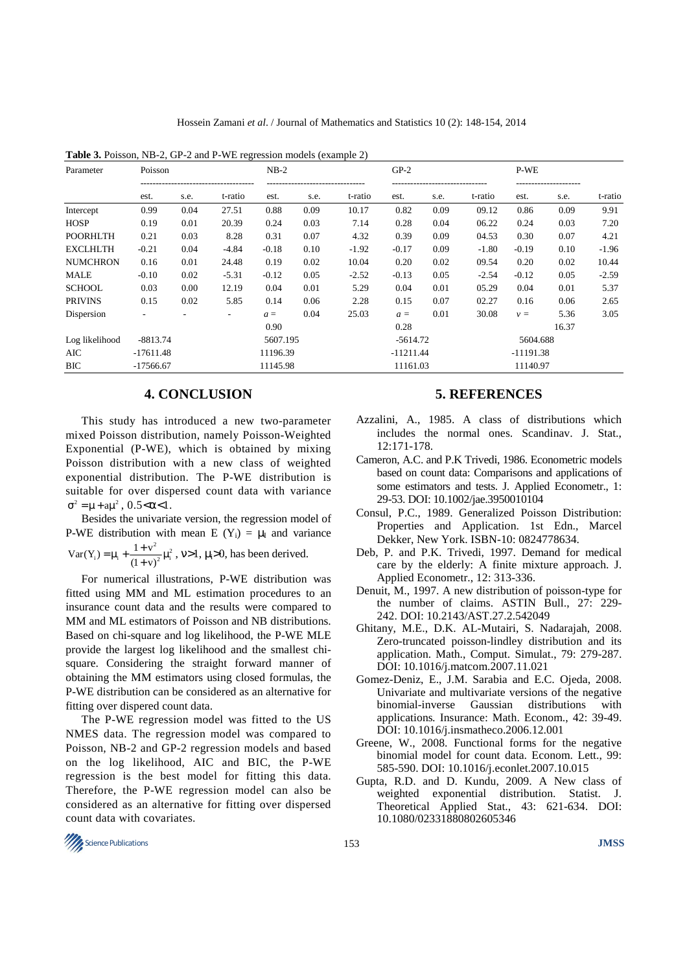Hossein Zamani *et al*. / Journal of Mathematics and Statistics 10 (2): 148-154, 2014

| Parameter       | Poisson     |                        |                          | $NB-2$   |                             |         | $GP-2$   |                                |             | P-WE     |       |         |  |
|-----------------|-------------|------------------------|--------------------------|----------|-----------------------------|---------|----------|--------------------------------|-------------|----------|-------|---------|--|
|                 |             |                        |                          |          | --------------------------- |         |          | ------------------------------ |             |          |       |         |  |
|                 | est.        | s.e.                   | t-ratio                  | est.     | s.e.                        | t-ratio | est.     | s.e.                           | t-ratio     | est.     | s.e.  | t-ratio |  |
| Intercept       | 0.99        | 0.04                   | 27.51                    | 0.88     | 0.09                        | 10.17   | 0.82     | 0.09                           | 09.12       | 0.86     | 0.09  | 9.91    |  |
| <b>HOSP</b>     | 0.19        | 0.01                   | 20.39                    | 0.24     | 0.03                        | 7.14    | 0.28     | 0.04                           | 06.22       | 0.24     | 0.03  | 7.20    |  |
| <b>POORHLTH</b> | 0.21        | 0.03                   | 8.28                     | 0.31     | 0.07                        | 4.32    | 0.39     | 0.09                           | 04.53       | 0.30     | 0.07  | 4.21    |  |
| <b>EXCLHLTH</b> | $-0.21$     | 0.04                   | $-4.84$                  | $-0.18$  | 0.10                        | $-1.92$ | $-0.17$  | 0.09                           | $-1.80$     | $-0.19$  | 0.10  | $-1.96$ |  |
| <b>NUMCHRON</b> | 0.16        | 0.01                   | 24.48                    | 0.19     | 0.02                        | 10.04   | 0.20     | 0.02                           | 09.54       | 0.20     | 0.02  | 10.44   |  |
| <b>MALE</b>     | $-0.10$     | 0.02                   | $-5.31$                  | $-0.12$  | 0.05                        | $-2.52$ | $-0.13$  | 0.05                           | $-2.54$     | $-0.12$  | 0.05  | $-2.59$ |  |
| <b>SCHOOL</b>   | 0.03        | 0.00                   | 12.19                    | 0.04     | 0.01                        | 5.29    | 0.04     | 0.01                           | 05.29       | 0.04     | 0.01  | 5.37    |  |
| <b>PRIVINS</b>  | 0.15        | 0.02                   | 5.85                     | 0.14     | 0.06                        | 2.28    | 0.15     | 0.07                           | 02.27       | 0.16     | 0.06  | 2.65    |  |
| Dispersion      | ۰           |                        | $\overline{\phantom{a}}$ | $a =$    | 0.04                        | 25.03   | $a =$    | 0.01                           | 30.08       | $v =$    | 5.36  | 3.05    |  |
|                 |             |                        |                          | 0.90     |                             |         | 0.28     |                                |             |          | 16.37 |         |  |
| Log likelihood  |             | $-8813.74$<br>5607.195 |                          |          | $-5614.72$                  |         |          |                                | 5604.688    |          |       |         |  |
| AIC             | $-17611.48$ | 11196.39               |                          |          | $-11211.44$                 |         |          |                                | $-11191.38$ |          |       |         |  |
| BIC             | $-17566.67$ |                        |                          | 11145.98 |                             |         | 11161.03 |                                |             | 11140.97 |       |         |  |

**Table 3.** Poisson, NB-2, GP-2 and P-WE regression models (example 2)

## **4. CONCLUSION**

This study has introduced a new two-parameter mixed Poisson distribution, namely Poisson-Weighted Exponential (P-WE), which is obtained by mixing Poisson distribution with a new class of weighted exponential distribution. The P-WE distribution is suitable for over dispersed count data with variance  $\sigma^2 = \mu + a \mu^2$ , 0.5< $\alpha$ <1.

Besides the univariate version, the regression model of P-WE distribution with mean E  $(Y_i) = \mu_I$  and variance

 $Var(Y_i) = \mu_i + \frac{1 + v^2}{(1 + v)^2} \mu_i^2$  $= \mu_i + \frac{1 + v^2}{(1 + v)^2} \mu_i^2$ ,  $v > 1$ ,  $\mu_i > 0$ , has been derived.

For numerical illustrations, P-WE distribution was fitted using MM and ML estimation procedures to an insurance count data and the results were compared to MM and ML estimators of Poisson and NB distributions. Based on chi-square and log likelihood, the P-WE MLE provide the largest log likelihood and the smallest chisquare. Considering the straight forward manner of obtaining the MM estimators using closed formulas, the P-WE distribution can be considered as an alternative for fitting over dispered count data.

The P-WE regression model was fitted to the US NMES data. The regression model was compared to Poisson, NB-2 and GP-2 regression models and based on the log likelihood, AIC and BIC, the P-WE regression is the best model for fitting this data. Therefore, the P-WE regression model can also be considered as an alternative for fitting over dispersed count data with covariates.

#### **5. REFERENCES**

- Azzalini, A., 1985. A class of distributions which includes the normal ones. Scandinav. J. Stat., 12:171-178.
- Cameron, A.C. and P.K Trivedi, 1986. Econometric models based on count data: Comparisons and applications of some estimators and tests. J. Applied Econometr., 1: 29-53. DOI: 10.1002/jae.3950010104
- Consul, P.C., 1989. Generalized Poisson Distribution: Properties and Application. 1st Edn., Marcel Dekker, New York. ISBN-10: 0824778634.
- Deb, P. and P.K. Trivedi, 1997. Demand for medical care by the elderly: A finite mixture approach. J. Applied Econometr., 12: 313-336.
- Denuit, M., 1997. A new distribution of poisson-type for the number of claims. ASTIN Bull., 27: 229- 242. DOI: 10.2143/AST.27.2.542049
- Ghitany, M.E., D.K. AL-Mutairi, S. Nadarajah, 2008. Zero-truncated poisson-lindley distribution and its application. Math., Comput. Simulat., 79: 279-287. DOI: 10.1016/j.matcom.2007.11.021
- Gomez-Deniz, E., J.M. Sarabia and E.C. Ojeda, 2008. Univariate and multivariate versions of the negative binomial-inverse Gaussian distributions with applications*.* Insurance: Math. Econom., 42: 39-49. DOI: 10.1016/j.insmatheco.2006.12.001
- Greene, W., 2008. Functional forms for the negative binomial model for count data. Econom. Lett., 99: 585-590. DOI: 10.1016/j.econlet.2007.10.015
- Gupta, R.D. and D. Kundu, 2009. A New class of weighted exponential distribution. Statist. J. Theoretical Applied Stat., 43: 621-634. DOI: 10.1080/02331880802605346